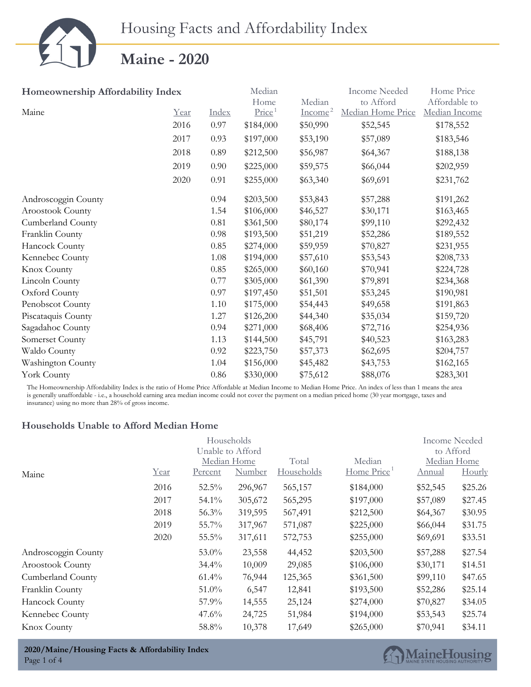|                                   | Housing Facts and Affordability Index |          |                    |           |                      |               |
|-----------------------------------|---------------------------------------|----------|--------------------|-----------|----------------------|---------------|
|                                   | <b>Maine - 2020</b>                   |          |                    |           |                      |               |
| Homeownership Affordability Index |                                       |          | Median             |           | <b>Income Needed</b> | Home Price    |
|                                   |                                       |          | Home               | Median    | to Afford            | Affordable to |
| Maine                             | Year                                  | Index    | Price <sup>1</sup> | $Income2$ | Median Home Price    | Median Income |
|                                   | 2016                                  | 0.97     | \$184,000          | \$50,990  | \$52,545             | \$178,552     |
|                                   | 2017                                  | 0.93     | \$197,000          | \$53,190  | \$57,089             | \$183,546     |
|                                   | 2018                                  | 0.89     | \$212,500          | \$56,987  | \$64,367             | \$188,138     |
|                                   | 2019                                  | 0.90     | \$225,000          | \$59,575  | \$66,044             | \$202,959     |
|                                   | 2020                                  | 0.91     | \$255,000          | \$63,340  | \$69,691             | \$231,762     |
| Androscoggin County               |                                       | 0.94     | \$203,500          | \$53,843  | \$57,288             | \$191,262     |
| Aroostook County                  |                                       | 1.54     | \$106,000          | \$46,527  | \$30,171             | \$163,465     |
| Cumberland County                 |                                       | 0.81     | \$361,500          | \$80,174  | \$99,110             | \$292,432     |
| Franklin County                   |                                       | 0.98     | \$193,500          | \$51,219  | \$52,286             | \$189,552     |
| Hancock County                    |                                       | 0.85     | \$274,000          | \$59,959  | \$70,827             | \$231,955     |
| Kennebec County                   |                                       | 1.08     | \$194,000          | \$57,610  | \$53,543             | \$208,733     |
| Knox County                       |                                       | 0.85     | \$265,000          | \$60,160  | \$70,941             | \$224,728     |
| Lincoln County                    |                                       | 0.77     | \$305,000          | \$61,390  | \$79,891             | \$234,368     |
| Oxford County                     |                                       | 0.97     | \$197,450          | \$51,501  | \$53,245             | \$190,981     |
| Penobscot County                  |                                       | 1.10     | \$175,000          | \$54,443  | \$49,658             | \$191,863     |
| Piscataquis County                |                                       | 1.27     | \$126,200          | \$44,340  | \$35,034             | \$159,720     |
| Sagadahoc County                  |                                       | 0.94     | \$271,000          | \$68,406  | \$72,716             | \$254,936     |
| Somerset County                   |                                       | 1.13     | \$144,500          | \$45,791  | \$40,523             | \$163,283     |
| Waldo County                      |                                       | $0.92\,$ | \$223,750          | \$57,373  | \$62,695             | \$204,757     |
| Washington County                 |                                       | 1.04     | \$156,000          | \$45,482  | \$43,753             | \$162,165     |
| York County                       |                                       | $0.86\,$ | \$330,000          | \$75,612  | \$88,076             | \$283,301     |

The Homeownership Affordability Index is the ratio of Home Price Affordable at Median Income to Median Home Price. An index of less than 1 means the area is generally unaffordable - i.e., a household earning area median income could not cover the payment on a median priced home (30 year mortgage, taxes and insurance) using no more than 28% of gross income.

#### **Households Unable to Afford Median Home**

|                     |      |                | Households       |            |            | Income Needed |           |
|---------------------|------|----------------|------------------|------------|------------|---------------|-----------|
|                     |      |                | Unable to Afford |            |            |               | to Afford |
|                     |      |                | Median Home      | Total      | Median     | Median Home   |           |
| Maine               | Year | <u>Percent</u> | Number           | Households | Home Price | Annual        | Hourly    |
|                     | 2016 | 52.5%          | 296,967          | 565,157    | \$184,000  | \$52,545      | \$25.26   |
|                     | 2017 | 54.1%          | 305,672          | 565,295    | \$197,000  | \$57,089      | \$27.45   |
|                     | 2018 | 56.3%          | 319,595          | 567,491    | \$212,500  | \$64,367      | \$30.95   |
|                     | 2019 | 55.7%          | 317,967          | 571,087    | \$225,000  | \$66,044      | \$31.75   |
|                     | 2020 | $55.5\%$       | 317,611          | 572,753    | \$255,000  | \$69,691      | \$33.51   |
| Androscoggin County |      | 53.0%          | 23,558           | 44,452     | \$203,500  | \$57,288      | \$27.54   |
| Aroostook County    |      | $34.4\%$       | 10,009           | 29,085     | \$106,000  | \$30,171      | \$14.51   |
| Cumberland County   |      | $61.4\%$       | 76,944           | 125,365    | \$361,500  | \$99,110      | \$47.65   |
| Franklin County     |      | $51.0\%$       | 6,547            | 12,841     | \$193,500  | \$52,286      | \$25.14   |
| Hancock County      |      | 57.9%          | 14,555           | 25,124     | \$274,000  | \$70,827      | \$34.05   |
| Kennebec County     |      | 47.6%          | 24,725           | 51,984     | \$194,000  | \$53,543      | \$25.74   |
| <b>Knox County</b>  |      | 58.8%          | 10,378           | 17,649     | \$265,000  | \$70,941      | \$34.11   |

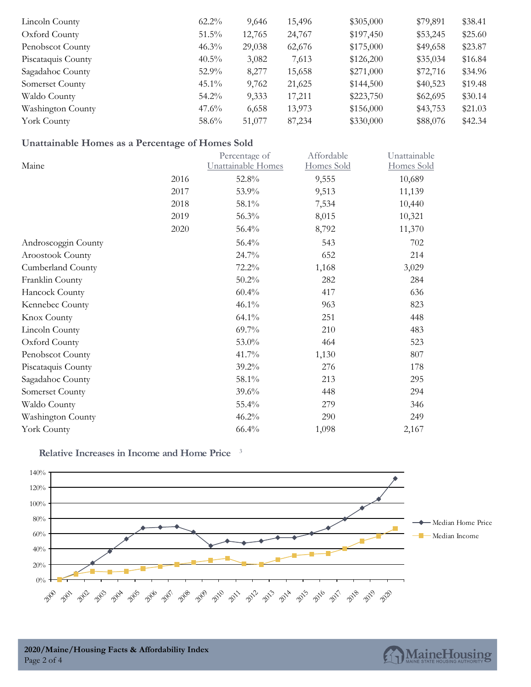| Lincoln County     | $62.2\%$ | 9,646  | 15,496 | \$305,000 | \$79,891 | \$38.41 |
|--------------------|----------|--------|--------|-----------|----------|---------|
| Oxford County      | $51.5\%$ | 12,765 | 24,767 | \$197,450 | \$53,245 | \$25.60 |
| Penobscot County   | $46.3\%$ | 29,038 | 62,676 | \$175,000 | \$49,658 | \$23.87 |
| Piscataquis County | $40.5\%$ | 3,082  | 7,613  | \$126,200 | \$35,034 | \$16.84 |
| Sagadahoc County   | $52.9\%$ | 8,277  | 15,658 | \$271,000 | \$72,716 | \$34.96 |
| Somerset County    | $45.1\%$ | 9,762  | 21,625 | \$144,500 | \$40,523 | \$19.48 |
| Waldo County       | $54.2\%$ | 9,333  | 17,211 | \$223,750 | \$62,695 | \$30.14 |
| Washington County  | $47.6\%$ | 6,658  | 13,973 | \$156,000 | \$43,753 | \$21.03 |
| York County        | $58.6\%$ | 51,077 | 87,234 | \$330,000 | \$88,076 | \$42.34 |

### **Unattainable Homes as a Percentage of Homes Sold**

| Percentage of | Affordable         | Unattainable |
|---------------|--------------------|--------------|
|               |                    | Homes Sold   |
| 52.8%         | 9,555              | 10,689       |
| 53.9%         | 9,513              | 11,139       |
| 58.1%         | 7,534              | 10,440       |
| 56.3%         | 8,015              | 10,321       |
| 56.4%         | 8,792              | 11,370       |
| 56.4%         | 543                | 702          |
| 24.7%         | 652                | 214          |
| 72.2%         | 1,168              | 3,029        |
| 50.2%         | 282                | 284          |
| 60.4%         | 417                | 636          |
| 46.1%         | 963                | 823          |
| 64.1%         | 251                | 448          |
| 69.7%         | 210                | 483          |
| 53.0%         | 464                | 523          |
| 41.7%         | 1,130              | 807          |
| 39.2%         | 276                | 178          |
| 58.1%         | 213                | 295          |
| 39.6%         | 448                | 294          |
| 55.4%         | 279                | 346          |
| 46.2%         | 290                | 249          |
| 66.4%         | 1,098              | 2,167        |
|               | Unattainable Homes | Homes Sold   |

#### **Relative Increases in Income and Home Price** 3



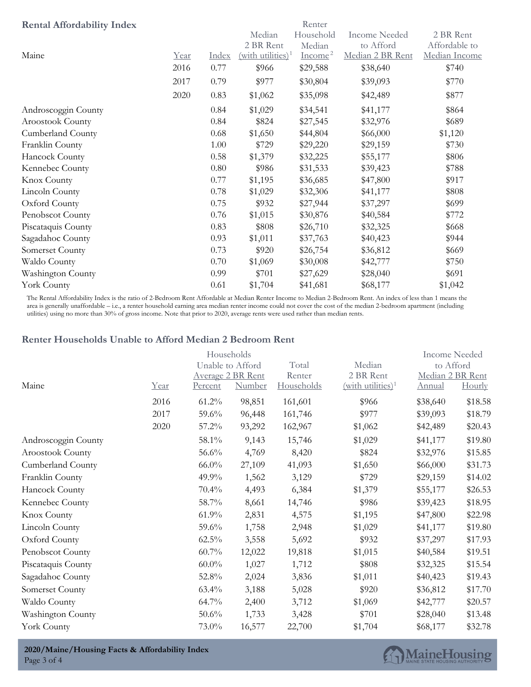| <b>Rental Affordability Index</b> |      |       |                               | Renter    |                      |               |
|-----------------------------------|------|-------|-------------------------------|-----------|----------------------|---------------|
|                                   |      |       | Median                        | Household | <b>Income Needed</b> | 2 BR Rent     |
|                                   |      |       | 2 BR Rent                     | Median    | to Afford            | Affordable to |
| Maine                             | Year | Index | (with utilities) <sup>1</sup> | $Income2$ | Median 2 BR Rent     | Median Income |
|                                   | 2016 | 0.77  | \$966                         | \$29,588  | \$38,640             | \$740         |
|                                   | 2017 | 0.79  | \$977                         | \$30,804  | \$39,093             | \$770         |
|                                   | 2020 | 0.83  | \$1,062                       | \$35,098  | \$42,489             | \$877         |
| Androscoggin County               |      | 0.84  | \$1,029                       | \$34,541  | \$41,177             | \$864         |
| Aroostook County                  |      | 0.84  | \$824                         | \$27,545  | \$32,976             | \$689         |
| Cumberland County                 |      | 0.68  | \$1,650                       | \$44,804  | \$66,000             | \$1,120       |
| Franklin County                   |      | 1.00  | \$729                         | \$29,220  | \$29,159             | \$730         |
| Hancock County                    |      | 0.58  | \$1,379                       | \$32,225  | \$55,177             | \$806         |
| Kennebec County                   |      | 0.80  | \$986                         | \$31,533  | \$39,423             | \$788         |
| Knox County                       |      | 0.77  | \$1,195                       | \$36,685  | \$47,800             | \$917         |
| Lincoln County                    |      | 0.78  | \$1,029                       | \$32,306  | \$41,177             | \$808         |
| Oxford County                     |      | 0.75  | \$932                         | \$27,944  | \$37,297             | \$699         |
| Penobscot County                  |      | 0.76  | \$1,015                       | \$30,876  | \$40,584             | \$772         |
| Piscataquis County                |      | 0.83  | \$808                         | \$26,710  | \$32,325             | \$668         |
| Sagadahoc County                  |      | 0.93  | \$1,011                       | \$37,763  | \$40,423             | \$944         |
| Somerset County                   |      | 0.73  | \$920                         | \$26,754  | \$36,812             | \$669         |
| Waldo County                      |      | 0.70  | \$1,069                       | \$30,008  | \$42,777             | \$750         |
| Washington County                 |      | 0.99  | \$701                         | \$27,629  | \$28,040             | \$691         |
| York County                       |      | 0.61  | \$1,704                       | \$41,681  | \$68,177             | \$1,042       |

The Rental Affordability Index is the ratio of 2-Bedroom Rent Affordable at Median Renter Income to Median 2-Bedroom Rent. An index of less than 1 means the area is generally unaffordable – i.e., a renter household earning area median renter income could not cover the cost of the median 2-bedroom apartment (including utilities) using no more than 30% of gross income. Note that prior to 2020, average rents were used rather than median rents.

#### **Renter Households Unable to Afford Median 2 Bedroom Rent**

|                     |             | Households<br>Unable to Afford |                             | Total                | Median                                   | <b>Income Needed</b><br>to Afford |                            |
|---------------------|-------------|--------------------------------|-----------------------------|----------------------|------------------------------------------|-----------------------------------|----------------------------|
| Maine               | <u>Year</u> | <u>Percent</u>                 | Average 2 BR Rent<br>Number | Renter<br>Households | 2 BR Rent<br>$(\text{with utilities})^1$ | <b>Annual</b>                     | Median 2 BR Rent<br>Hourly |
|                     | 2016        | $61.2\%$                       | 98,851                      | 161,601              | \$966                                    | \$38,640                          | \$18.58                    |
|                     | 2017        | $59.6\%$                       | 96,448                      | 161,746              | \$977                                    | \$39,093                          | \$18.79                    |
|                     | 2020        | 57.2%                          | 93,292                      | 162,967              | \$1,062                                  | \$42,489                          | \$20.43                    |
| Androscoggin County |             | 58.1%                          | 9,143                       | 15,746               | \$1,029                                  | \$41,177                          | \$19.80                    |
| Aroostook County    |             | 56.6%                          | 4,769                       | 8,420                | \$824                                    | \$32,976                          | \$15.85                    |
| Cumberland County   |             | $66.0\%$                       | 27,109                      | 41,093               | \$1,650                                  | \$66,000                          | \$31.73                    |
| Franklin County     |             | 49.9%                          | 1,562                       | 3,129                | \$729                                    | \$29,159                          | \$14.02                    |
| Hancock County      |             | 70.4%                          | 4,493                       | 6,384                | \$1,379                                  | \$55,177                          | \$26.53                    |
| Kennebec County     |             | 58.7%                          | 8,661                       | 14,746               | \$986                                    | \$39,423                          | \$18.95                    |
| Knox County         |             | 61.9%                          | 2,831                       | 4,575                | \$1,195                                  | \$47,800                          | \$22.98                    |
| Lincoln County      |             | 59.6%                          | 1,758                       | 2,948                | \$1,029                                  | \$41,177                          | \$19.80                    |
| Oxford County       |             | $62.5\%$                       | 3,558                       | 5,692                | \$932                                    | \$37,297                          | \$17.93                    |
| Penobscot County    |             | $60.7\%$                       | 12,022                      | 19,818               | \$1,015                                  | \$40,584                          | \$19.51                    |
| Piscataquis County  |             | $60.0\%$                       | 1,027                       | 1,712                | \$808                                    | \$32,325                          | \$15.54                    |
| Sagadahoc County    |             | 52.8%                          | 2,024                       | 3,836                | \$1,011                                  | \$40,423                          | \$19.43                    |
| Somerset County     |             | $63.4\%$                       | 3,188                       | 5,028                | \$920                                    | \$36,812                          | \$17.70                    |
| Waldo County        |             | 64.7%                          | 2,400                       | 3,712                | \$1,069                                  | \$42,777                          | \$20.57                    |
| Washington County   |             | 50.6%                          | 1,733                       | 3,428                | \$701                                    | \$28,040                          | \$13.48                    |
| York County         |             | 73.0%                          | 16,577                      | 22,700               | \$1,704                                  | \$68,177                          | \$32.78                    |

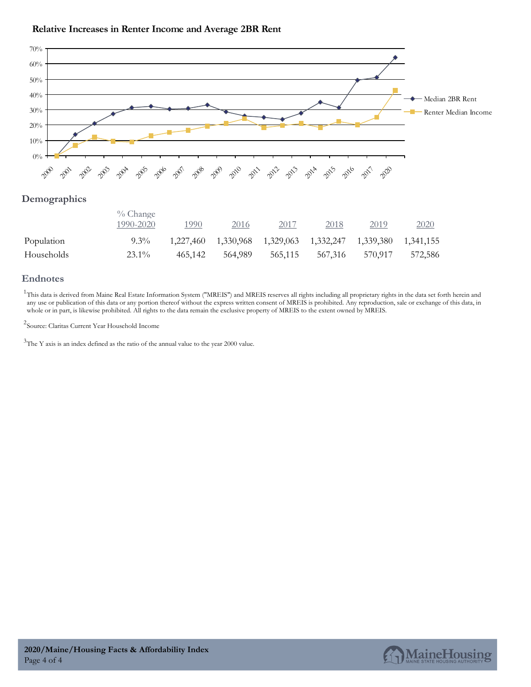

### **Relative Increases in Renter Income and Average 2BR Rent**

#### **Demographics**

|            | $\%$ Change<br>1990-2020 | 1990    | 2016                                                        | 2017    | 2018    | 2019    | <u>2020</u> |
|------------|--------------------------|---------|-------------------------------------------------------------|---------|---------|---------|-------------|
| Population | $9.3\%$                  |         | 1,227,460 1,330,968 1,329,063 1,332,247 1,339,380 1,341,155 |         |         |         |             |
| Households | $23.1\%$                 | 465.142 | 564.989                                                     | 565.115 | 567,316 | 570.917 | 572,586     |

#### **Endnotes**

<sup>1</sup>This data is derived from Maine Real Estate Information System ("MREIS") and MREIS reserves all rights including all proprietary rights in the data set forth herein and any use or publication of this data or any portion thereof without the express written consent of MREIS is prohibited. Any reproduction, sale or exchange of this data, in whole or in part, is likewise prohibited. All rights to the data remain the exclusive property of MREIS to the extent owned by MREIS.

2 Source: Claritas Current Year Household Income

 $3$ The Y axis is an index defined as the ratio of the annual value to the year 2000 value.

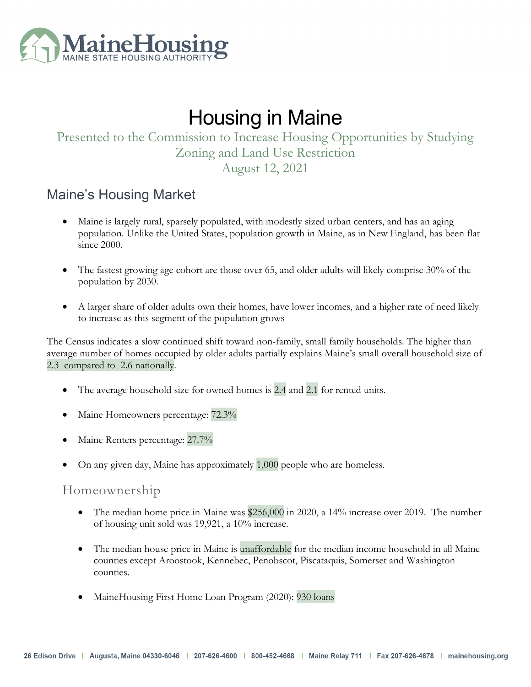

# Housing in Maine

# Presented to the Commission to Increase Housing Opportunities by Studying Zoning and Land Use Restriction

### August 12, 2021

### Maine's Housing Market

- Maine is largely rural, sparsely populated, with modestly sized urban centers, and has an aging population. Unlike the United States, population growth in Maine, as in New England, has been flat since 2000.
- The fastest growing age cohort are those over 65, and older adults will likely comprise 30% of the population by 2030.
- A larger share of older adults own their homes, have lower incomes, and a higher rate of need likely to increase as this segment of the population grows

The Census indicates a slow continued shift toward non-family, small family households. The higher than average number of homes occupied by older adults partially explains Maine's small overall household size of 2.3 compared to 2.6 nationally.

- The average household size for owned homes is  $2.4$  and  $2.1$  for rented units.
- Maine Homeowners percentage: 72.3% wned<br> $72.3\%$
- Maine Renters percentage: 27.7% ntage:<br>27.7%<br>as ap<sub>l</sub>
- On any given day, Maine has approximately 1,000 people who are homeless. 1,000

### Homeownership

- The median home price in Maine was \$256,000 in 2020, a 14% increase over 2019. The number  $$256$ <br>  $\frac{1}{2}$
- of housing unit sold was 19,921, a 10% increase.<br>The median house price in Maine is **unaffordable**<br>counties except Aroostook, Kennebec, Penobsco<br>counties. • The median house price in Maine is unaffordable for the median income household in all Maine counties except Aroostook, Kennebec, Penobscot, Piscataquis, Somerset and Washington counties.
- MaineHousing First Home Loan Program (2020): 930 loans  $9301$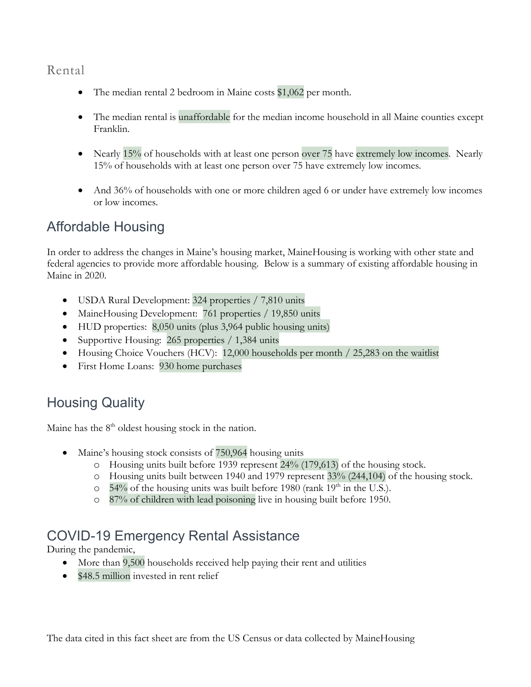### Rental

- The median rental 2 bedroom in Maine costs \$1,062 per month.
- The median rental is unaffordable for the median income household in all Maine counties except Franklin. \$1,06<br>dian i bedro<br>unaf1
- Nearly 15% of households with at least one person over 75 have extremely low incomes. Nearly 15% of households with at least one person over 75 have extremely low incomes. n.<br>15% of households with at least one person over<br>Fhouseholds with at least one person over 75 have
- And 36% of households with one or more children aged 6 or under have extremely low incomes or low incomes.

### Affordable Housing

In order to address the changes in Maine's housing market, MaineHousing is working with other state and federal agencies to provide more affordable housing. Below is a summary of existing affordable housing in Maine in 2020.

- USDA Rural Development: 324 properties / 7,810 units
- MaineHousing Development: 761 properties / 19,850 units
- HUD properties: 8,050 units (plus 3,964 public housing units)
- Supportive Housing: 265 properties / 1,384 units
- Housing Choice Vouchers (HCV): 12,000 households per month / 25,283 on the waitlist
- First Home Loans: 930 home purchases

# Housing Quality

Maine has the  $8<sup>th</sup>$  oldest housing stock in the nation.

- Maine's housing stock consists of 750,964 housing units
	- o Housing units built before 1939 represent 24% (179,613) of the housing stock. g units<br>24% (179,613) of the housing<br>'9 represent 33% (244,104) of<br>1980 (rank 19<sup>th</sup> in the U.S.).
	- o Housing units built between 1940 and 1979 represent 33% (244,104) of the housing stock.
	- $\circ$  54% of the housing units was built before 1980 (rank 19<sup>th</sup> in the U.S.).
	- o 87% of children with lead poisoning live in housing built before 1950.

# COVID-19 Emergency Rental Assistance

During the pandemic,

- More than 9,500 households received help paying their rent and utilities
- \$48.5 million invested in rent relief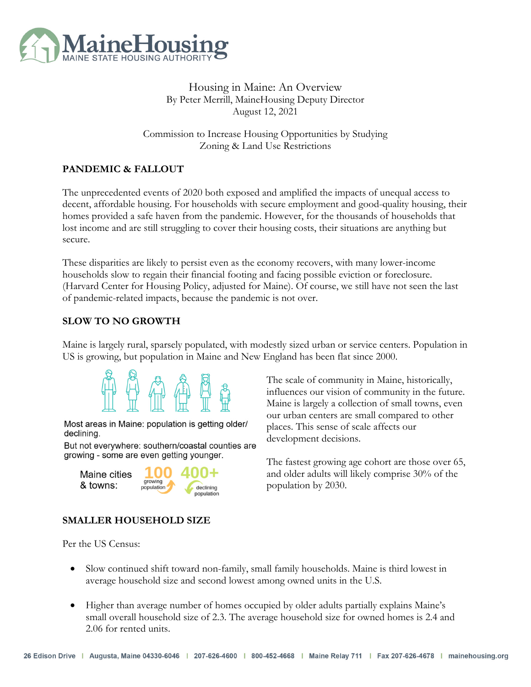

### Housing in Maine: An Overview By Peter Merrill, MaineHousing Deputy Director August 12, 2021

Commission to Increase Housing Opportunities by Studying Zoning & Land Use Restrictions

### **PANDEMIC & FALLOUT**

The unprecedented events of 2020 both exposed and amplified the impacts of unequal access to decent, affordable housing. For households with secure employment and good-quality housing, their homes provided a safe haven from the pandemic. However, for the thousands of households that lost income and are still struggling to cover their housing costs, their situations are anything but secure.

These disparities are likely to persist even as the economy recovers, with many lower-income households slow to regain their financial footing and facing possible eviction or foreclosure. (Harvard Center for Housing Policy, adjusted for Maine). Of course, we still have not seen the last of pandemic-related impacts, because the pandemic is not over.

### **SLOW TO NO GROWTH**

Maine is largely rural, sparsely populated, with modestly sized urban or service centers. Population in US is growing, but population in Maine and New England has been flat since 2000.



Most areas in Maine: population is getting older/ declining.

But not everywhere: southern/coastal counties are growing - some are even getting younger.



The scale of community in Maine, historically, influences our vision of community in the future. Maine is largely a collection of small towns, even our urban centers are small compared to other places. This sense of scale affects our development decisions.

The fastest growing age cohort are those over 65, and older adults will likely comprise 30% of the population by 2030.

### **SMALLER HOUSEHOLD SIZE**

Per the US Census:

- Slow continued shift toward non-family, small family households. Maine is third lowest in average household size and second lowest among owned units in the U.S.
- Higher than average number of homes occupied by older adults partially explains Maine's small overall household size of 2.3. The average household size for owned homes is 2.4 and 2.06 for rented units.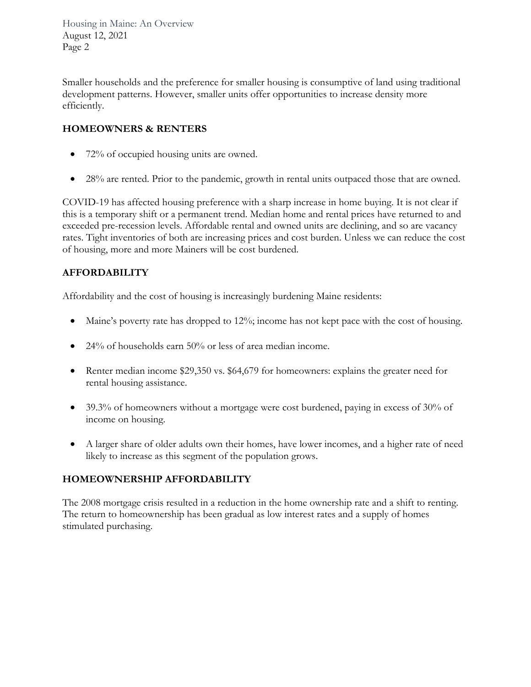Housing in Maine: An Overview August 12, 2021 Page 2

Smaller households and the preference for smaller housing is consumptive of land using traditional development patterns. However, smaller units offer opportunities to increase density more efficiently.

### **HOMEOWNERS & RENTERS**

- 72% of occupied housing units are owned.
- 28% are rented. Prior to the pandemic, growth in rental units outpaced those that are owned.

COVID-19 has affected housing preference with a sharp increase in home buying. It is not clear if this is a temporary shift or a permanent trend. Median home and rental prices have returned to and exceeded pre-recession levels. Affordable rental and owned units are declining, and so are vacancy rates. Tight inventories of both are increasing prices and cost burden. Unless we can reduce the cost of housing, more and more Mainers will be cost burdened.

### **AFFORDABILITY**

Affordability and the cost of housing is increasingly burdening Maine residents:

- Maine's poverty rate has dropped to 12%; income has not kept pace with the cost of housing.
- 24% of households earn 50% or less of area median income.
- Renter median income \$29,350 vs. \$64,679 for homeowners: explains the greater need for rental housing assistance.
- 39.3% of homeowners without a mortgage were cost burdened, paying in excess of 30% of income on housing.
- A larger share of older adults own their homes, have lower incomes, and a higher rate of need likely to increase as this segment of the population grows.

### **HOMEOWNERSHIP AFFORDABILITY**

The 2008 mortgage crisis resulted in a reduction in the home ownership rate and a shift to renting. The return to homeownership has been gradual as low interest rates and a supply of homes stimulated purchasing.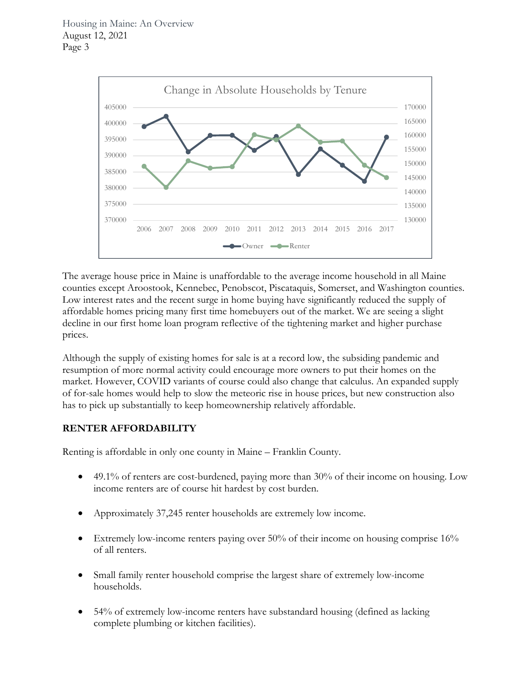

The average house price in Maine is unaffordable to the average income household in all Maine counties except Aroostook, Kennebec, Penobscot, Piscataquis, Somerset, and Washington counties. Low interest rates and the recent surge in home buying have significantly reduced the supply of affordable homes pricing many first time homebuyers out of the market. We are seeing a slight decline in our first home loan program reflective of the tightening market and higher purchase prices.

Although the supply of existing homes for sale is at a record low, the subsiding pandemic and resumption of more normal activity could encourage more owners to put their homes on the market. However, COVID variants of course could also change that calculus. An expanded supply of for-sale homes would help to slow the meteoric rise in house prices, but new construction also has to pick up substantially to keep homeownership relatively affordable.

### **RENTER AFFORDABILITY**

Renting is affordable in only one county in Maine – Franklin County.

- 49.1% of renters are cost-burdened, paying more than 30% of their income on housing. Low income renters are of course hit hardest by cost burden.
- Approximately 37,245 renter households are extremely low income.
- Extremely low-income renters paying over  $50\%$  of their income on housing comprise  $16\%$ of all renters.
- Small family renter household comprise the largest share of extremely low-income households.
- 54% of extremely low-income renters have substandard housing (defined as lacking complete plumbing or kitchen facilities).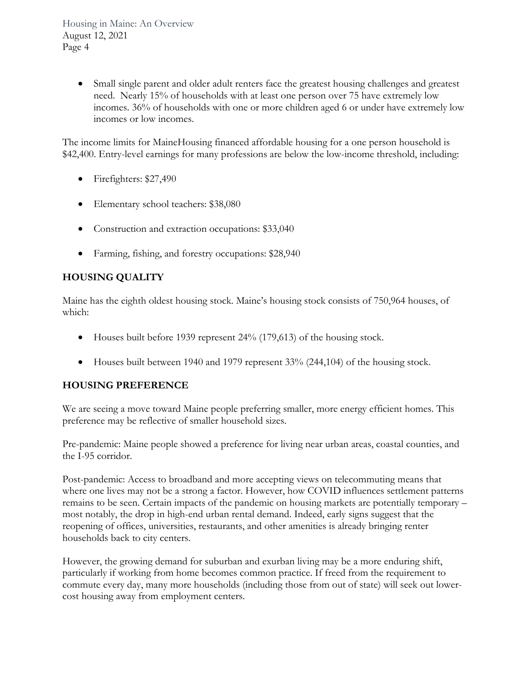Housing in Maine: An Overview August 12, 2021 Page 4

> Small single parent and older adult renters face the greatest housing challenges and greatest need. Nearly 15% of households with at least one person over 75 have extremely low incomes. 36% of households with one or more children aged 6 or under have extremely low incomes or low incomes.

The income limits for MaineHousing financed affordable housing for a one person household is \$42,400. Entry-level earnings for many professions are below the low-income threshold, including:

- Firefighters: \$27,490
- Elementary school teachers: \$38,080
- Construction and extraction occupations: \$33,040
- Farming, fishing, and forestry occupations: \$28,940

### **HOUSING QUALITY**

Maine has the eighth oldest housing stock. Maine's housing stock consists of 750,964 houses, of which:

- Houses built before 1939 represent 24% (179,613) of the housing stock.
- Houses built between 1940 and 1979 represent  $33\%$  (244,104) of the housing stock.

### **HOUSING PREFERENCE**

We are seeing a move toward Maine people preferring smaller, more energy efficient homes. This preference may be reflective of smaller household sizes.

Pre-pandemic: Maine people showed a preference for living near urban areas, coastal counties, and the I-95 corridor.

Post-pandemic: Access to broadband and more accepting views on telecommuting means that where one lives may not be a strong a factor. However, how COVID influences settlement patterns remains to be seen. Certain impacts of the pandemic on housing markets are potentially temporary – most notably, the drop in high-end urban rental demand. Indeed, early signs suggest that the reopening of offices, universities, restaurants, and other amenities is already bringing renter households back to city centers.

However, the growing demand for suburban and exurban living may be a more enduring shift, particularly if working from home becomes common practice. If freed from the requirement to commute every day, many more households (including those from out of state) will seek out lowercost housing away from employment centers.